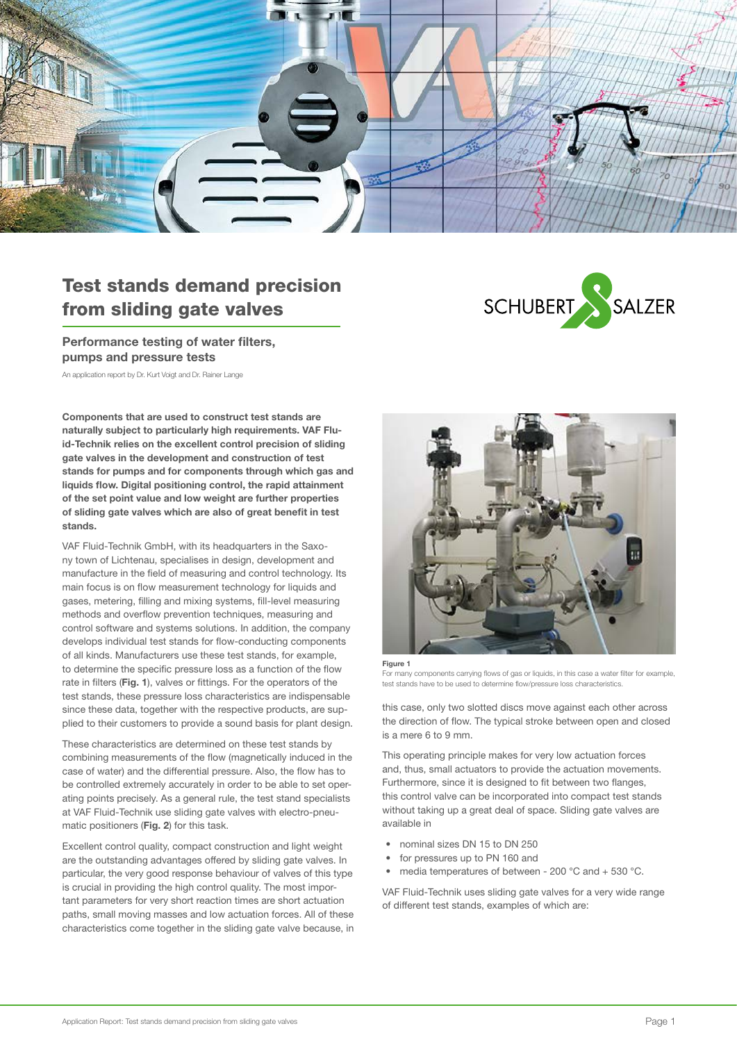

# Test stands demand precision from sliding gate valves

## Performance testing of water filters, pumps and pressure tests

An application report by Dr. Kurt Voigt and Dr. Rainer Lange

Components that are used to construct test stands are naturally subject to particularly high requirements. VAF Fluid-Technik relies on the excellent control precision of sliding gate valves in the development and construction of test stands for pumps and for components through which gas and liquids flow. Digital positioning control, the rapid attainment of the set point value and low weight are further properties of sliding gate valves which are also of great benefit in test stands.

VAF Fluid-Technik GmbH, with its headquarters in the Saxony town of Lichtenau, specialises in design, development and manufacture in the field of measuring and control technology. Its main focus is on flow measurement technology for liquids and gases, metering, filling and mixing systems, fill-level measuring methods and overflow prevention techniques, measuring and control software and systems solutions. In addition, the company develops individual test stands for flow-conducting components of all kinds. Manufacturers use these test stands, for example, to determine the specific pressure loss as a function of the flow rate in filters (Fig. 1), valves or fittings. For the operators of the test stands, these pressure loss characteristics are indispensable since these data, together with the respective products, are supplied to their customers to provide a sound basis for plant design.

These characteristics are determined on these test stands by combining measurements of the flow (magnetically induced in the case of water) and the differential pressure. Also, the flow has to be controlled extremely accurately in order to be able to set operating points precisely. As a general rule, the test stand specialists at VAF Fluid-Technik use sliding gate valves with electro-pneumatic positioners (Fig. 2) for this task.

Excellent control quality, compact construction and light weight are the outstanding advantages offered by sliding gate valves. In particular, the very good response behaviour of valves of this type is crucial in providing the high control quality. The most important parameters for very short reaction times are short actuation paths, small moving masses and low actuation forces. All of these characteristics come together in the sliding gate valve because, in





For many components carrying flows of gas or liquids, in this case a water filter for example, test stands have to be used to determine flow/pressure loss characteristics.

this case, only two slotted discs move against each other across the direction of flow. The typical stroke between open and closed is a mere 6 to 9 mm.

This operating principle makes for very low actuation forces and, thus, small actuators to provide the actuation movements. Furthermore, since it is designed to fit between two flanges. this control valve can be incorporated into compact test stands without taking up a great deal of space. Sliding gate valves are available in

- nominal sizes DN 15 to DN 250
- for pressures up to PN 160 and
- media temperatures of between 200  $^{\circ}$ C and + 530  $^{\circ}$ C.

VAF Fluid-Technik uses sliding gate valves for a very wide range of different test stands, examples of which are: